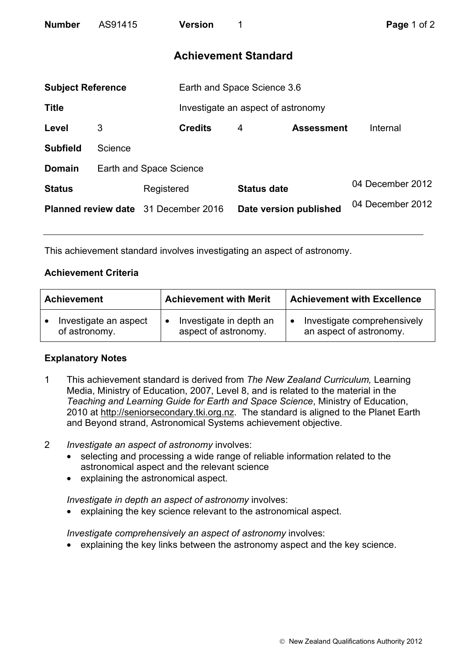| <b>Number</b>                               | AS91415 | Version                 | 1                           |                                    | Page 1 of 2      |  |  |
|---------------------------------------------|---------|-------------------------|-----------------------------|------------------------------------|------------------|--|--|
| <b>Achievement Standard</b>                 |         |                         |                             |                                    |                  |  |  |
| <b>Subject Reference</b>                    |         |                         | Earth and Space Science 3.6 |                                    |                  |  |  |
| <b>Title</b>                                |         |                         |                             | Investigate an aspect of astronomy |                  |  |  |
| Level                                       | 3       | <b>Credits</b>          | 4                           | <b>Assessment</b>                  | Internal         |  |  |
| <b>Subfield</b>                             | Science |                         |                             |                                    |                  |  |  |
| <b>Domain</b>                               |         | Earth and Space Science |                             |                                    |                  |  |  |
| <b>Status</b>                               |         | Registered              |                             | <b>Status date</b>                 | 04 December 2012 |  |  |
| <b>Planned review date</b> 31 December 2016 |         |                         |                             | Date version published             | 04 December 2012 |  |  |

This achievement standard involves investigating an aspect of astronomy.

## **Achievement Criteria**

| <b>Achievement</b>    | <b>Achievement with Merit</b> | <b>Achievement with Excellence</b> |  |
|-----------------------|-------------------------------|------------------------------------|--|
| Investigate an aspect | Investigate in depth an       | Investigate comprehensively        |  |
| of astronomy.         | aspect of astronomy.          | an aspect of astronomy.            |  |

## **Explanatory Notes**

- 1 This achievement standard is derived from *The New Zealand Curriculum,* Learning Media, Ministry of Education, 2007, Level 8, and is related to the material in the *Teaching and Learning Guide for Earth and Space Science*, Ministry of Education, 2010 at http://seniorsecondary.tki.org.nz. The standard is aligned to the Planet Earth and Beyond strand, Astronomical Systems achievement objective.
- 2 *Investigate an aspect of astronomy* involves:
	- selecting and processing a wide range of reliable information related to the astronomical aspect and the relevant science
	- explaining the astronomical aspect.

*Investigate in depth an aspect of astronomy* involves:

• explaining the key science relevant to the astronomical aspect.

*Investigate comprehensively an aspect of astronomy* involves:

• explaining the key links between the astronomy aspect and the key science.